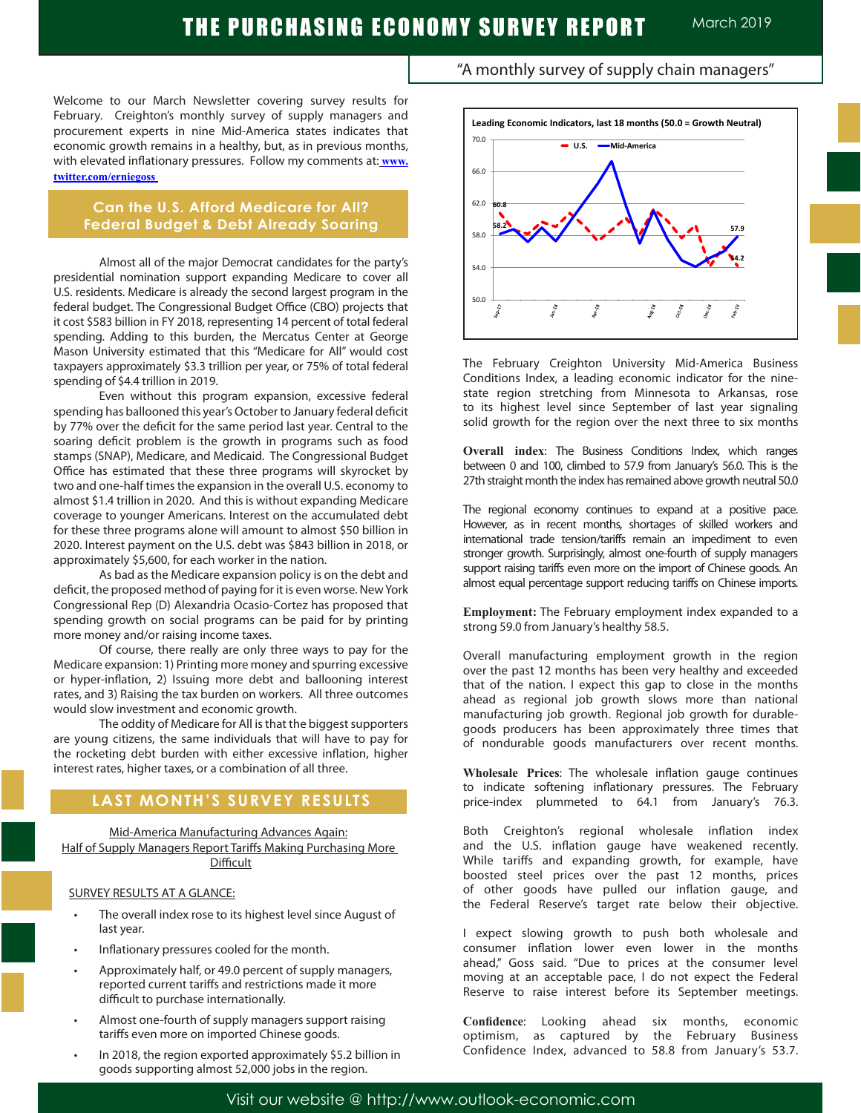Welcome to our March Newsletter covering survey results for February. Creighton's monthly survey of supply managers and procurement experts in nine Mid-America states indicates that economic growth remains in a healthy, but, as in previous months, with elevated inflationary pressures. Follow my comments at: **www. twitter.com/erniegoss**

### **Can the U.S. Afford Medicare for All? Federal Budget & Debt Already Soaring**

Almost all of the major Democrat candidates for the party's presidential nomination support expanding Medicare to cover all U.S. residents. Medicare is already the second largest program in the federal budget. The Congressional Budget Office (CBO) projects that it cost \$583 billion in FY 2018, representing 14 percent of total federal spending. Adding to this burden, the Mercatus Center at George Mason University estimated that this "Medicare for All" would cost taxpayers approximately \$3.3 trillion per year, or 75% of total federal spending of \$4.4 trillion in 2019.

Even without this program expansion, excessive federal spending has ballooned this year's October to January federal deficit by 77% over the deficit for the same period last year. Central to the soaring deficit problem is the growth in programs such as food stamps (SNAP), Medicare, and Medicaid. The Congressional Budget Office has estimated that these three programs will skyrocket by two and one-half times the expansion in the overall U.S. economy to almost \$1.4 trillion in 2020. And this is without expanding Medicare coverage to younger Americans. Interest on the accumulated debt for these three programs alone will amount to almost \$50 billion in 2020. Interest payment on the U.S. debt was \$843 billion in 2018, or approximately \$5,600, for each worker in the nation.

As bad as the Medicare expansion policy is on the debt and deficit, the proposed method of paying for it is even worse. New York Congressional Rep (D) Alexandria Ocasio-Cortez has proposed that spending growth on social programs can be paid for by printing more money and/or raising income taxes.

Of course, there really are only three ways to pay for the Medicare expansion: 1) Printing more money and spurring excessive or hyper-inflation, 2) Issuing more debt and ballooning interest rates, and 3) Raising the tax burden on workers. All three outcomes would slow investment and economic growth.

The oddity of Medicare for All is that the biggest supporters are young citizens, the same individuals that will have to pay for the rocketing debt burden with either excessive inflation, higher interest rates, higher taxes, or a combination of all three.

## **LAST MONTH'S SURVEY RESULTS**

Mid-America Manufacturing Advances Again: Half of Supply Managers Report Tariffs Making Purchasing More **Difficult** 

### SURVEY RESULTS AT A GLANCE:

L

- The overall index rose to its highest level since August of last year.
- Inflationary pressures cooled for the month.
- Approximately half, or 49.0 percent of supply managers, reported current tariffs and restrictions made it more difficult to purchase internationally.
- Almost one-fourth of supply managers support raising tariffs even more on imported Chinese goods.
- In 2018, the region exported approximately \$5.2 billion in goods supporting almost 52,000 jobs in the region.





The February Creighton University Mid-America Business Conditions Index, a leading economic indicator for the ninestate region stretching from Minnesota to Arkansas, rose to its highest level since September of last year signaling solid growth for the region over the next three to six months

**Overall index**: The Business Conditions Index, which ranges between 0 and 100, climbed to 57.9 from January's 56.0. This is the 27th straight month the index has remained above growth neutral 50.0

The regional economy continues to expand at a positive pace. However, as in recent months, shortages of skilled workers and international trade tension/tariffs remain an impediment to even stronger growth. Surprisingly, almost one-fourth of supply managers support raising tariffs even more on the import of Chinese goods. An almost equal percentage support reducing tariffs on Chinese imports.

**Employment:** The February employment index expanded to a strong 59.0 from January's healthy 58.5. .

Overall manufacturing employment growth in the region over the past 12 months has been very healthy and exceeded that of the nation. I expect this gap to close in the months ahead as regional job growth slows more than national manufacturing job growth. Regional job growth for durablegoods producers has been approximately three times that of nondurable goods manufacturers over recent months.

**Wholesale Prices**: The wholesale inflation gauge continues to indicate softening inflationary pressures. The February price-index plummeted to 64.1 from January's 76.3.

Both Creighton's regional wholesale inflation index and the U.S. inflation gauge have weakened recently. While tariffs and expanding growth, for example, have boosted steel prices over the past 12 months, prices of other goods have pulled our inflation gauge, and the Federal Reserve's target rate below their objective.

I expect slowing growth to push both wholesale and consumer inflation lower even lower in the months ahead," Goss said. "Due to prices at the consumer level moving at an acceptable pace, I do not expect the Federal Reserve to raise interest before its September meetings.

**Confidence**: Looking ahead six months, economic optimism, as captured by the February Business Confidence Index, advanced to 58.8 from January's 53.7.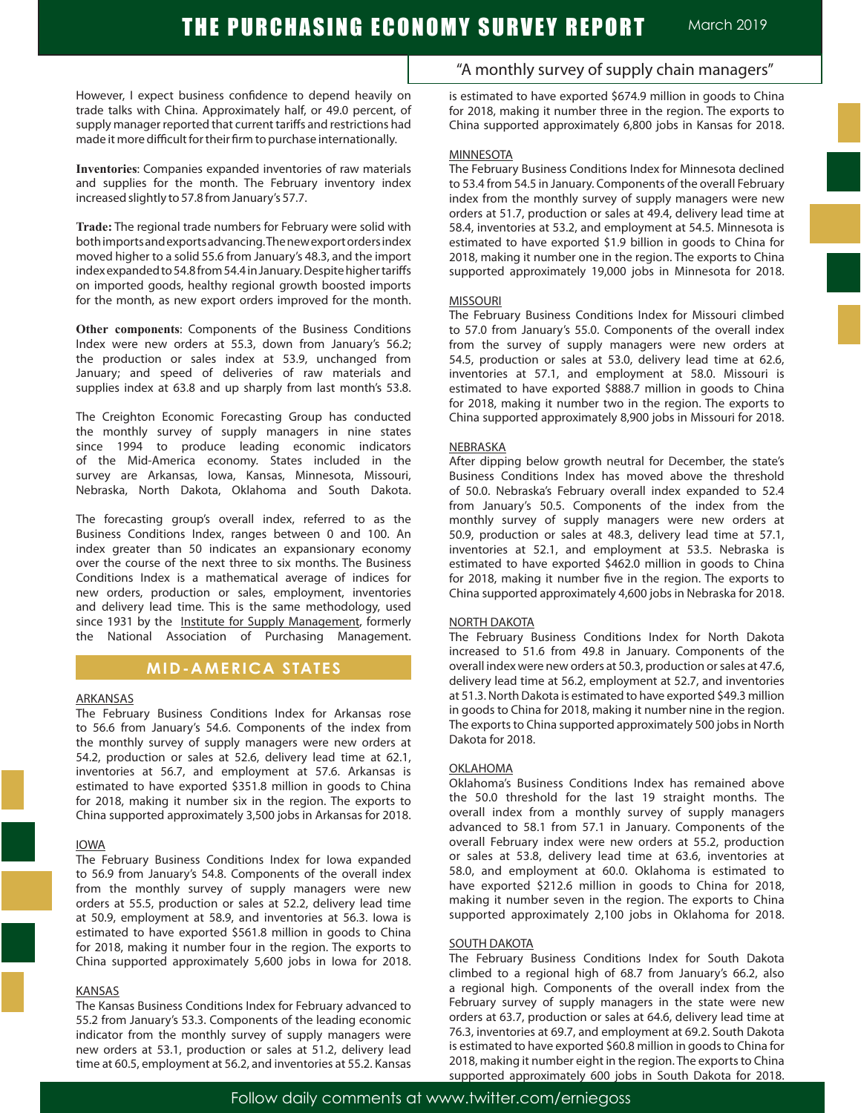However, I expect business confidence to depend heavily on trade talks with China. Approximately half, or 49.0 percent, of supply manager reported that current tariffs and restrictions had made it more difficult for their firm to purchase internationally. .

**Inventories**: Companies expanded inventories of raw materials and supplies for the month. The February inventory index increased slightly to 57.8 from January's 57.7. .

**Trade:** The regional trade numbers for February were solid with both imports and exports advancing. The new export orders index moved higher to a solid 55.6 from January's 48.3, and the import index expanded to 54.8 from 54.4 in January. Despite higher tariffs on imported goods, healthy regional growth boosted imports for the month, as new export orders improved for the month.

**Other components**: Components of the Business Conditions Index were new orders at 55.3, down from January's 56.2; the production or sales index at 53.9, unchanged from January; and speed of deliveries of raw materials and supplies index at 63.8 and up sharply from last month's 53.8.

The Creighton Economic Forecasting Group has conducted the monthly survey of supply managers in nine states since 1994 to produce leading economic indicators of the Mid-America economy. States included in the survey are Arkansas, Iowa, Kansas, Minnesota, Missouri, Nebraska, North Dakota, Oklahoma and South Dakota.

The forecasting group's overall index, referred to as the Business Conditions Index, ranges between 0 and 100. An index greater than 50 indicates an expansionary economy over the course of the next three to six months. The Business Conditions Index is a mathematical average of indices for new orders, production or sales, employment, inventories and delivery lead time. This is the same methodology, used since 1931 by the Institute for Supply Management, formerly the National Association of Purchasing Management.

### **MID-AMERICA STATES**

### ARKANSAS

The February Business Conditions Index for Arkansas rose to 56.6 from January's 54.6. Components of the index from the monthly survey of supply managers were new orders at 54.2, production or sales at 52.6, delivery lead time at 62.1, inventories at 56.7, and employment at 57.6. Arkansas is estimated to have exported \$351.8 million in goods to China for 2018, making it number six in the region. The exports to China supported approximately 3,500 jobs in Arkansas for 2018.

### IOWA

The February Business Conditions Index for Iowa expanded to 56.9 from January's 54.8. Components of the overall index from the monthly survey of supply managers were new orders at 55.5, production or sales at 52.2, delivery lead time at 50.9, employment at 58.9, and inventories at 56.3. Iowa is estimated to have exported \$561.8 million in goods to China for 2018, making it number four in the region. The exports to China supported approximately 5,600 jobs in Iowa for 2018.

#### KANSAS

The Kansas Business Conditions Index for February advanced to 55.2 from January's 53.3. Components of the leading economic indicator from the monthly survey of supply managers were new orders at 53.1, production or sales at 51.2, delivery lead time at 60.5, employment at 56.2, and inventories at 55.2. Kansas

"A monthly survey of supply chain managers"

is estimated to have exported \$674.9 million in goods to China for 2018, making it number three in the region. The exports to China supported approximately 6,800 jobs in Kansas for 2018.

#### **MINNESOTA**

The February Business Conditions Index for Minnesota declined to 53.4 from 54.5 in January. Components of the overall February index from the monthly survey of supply managers were new orders at 51.7, production or sales at 49.4, delivery lead time at 58.4, inventories at 53.2, and employment at 54.5. Minnesota is estimated to have exported \$1.9 billion in goods to China for 2018, making it number one in the region. The exports to China supported approximately 19,000 jobs in Minnesota for 2018.

#### MISSOURI

The February Business Conditions Index for Missouri climbed to 57.0 from January's 55.0. Components of the overall index from the survey of supply managers were new orders at 54.5, production or sales at 53.0, delivery lead time at 62.6, inventories at 57.1, and employment at 58.0. Missouri is estimated to have exported \$888.7 million in goods to China for 2018, making it number two in the region. The exports to China supported approximately 8,900 jobs in Missouri for 2018.

### NEBRASKA

After dipping below growth neutral for December, the state's Business Conditions Index has moved above the threshold of 50.0. Nebraska's February overall index expanded to 52.4 from January's 50.5. Components of the index from the monthly survey of supply managers were new orders at 50.9, production or sales at 48.3, delivery lead time at 57.1, inventories at 52.1, and employment at 53.5. Nebraska is estimated to have exported \$462.0 million in goods to China for 2018, making it number five in the region. The exports to China supported approximately 4,600 jobs in Nebraska for 2018.

### NORTH DAKOTA

The February Business Conditions Index for North Dakota increased to 51.6 from 49.8 in January. Components of the overall index were new orders at 50.3, production or sales at 47.6, delivery lead time at 56.2, employment at 52.7, and inventories at 51.3. North Dakota is estimated to have exported \$49.3 million in goods to China for 2018, making it number nine in the region. The exports to China supported approximately 500 jobs in North Dakota for 2018.

### OKLAHOMA

Oklahoma's Business Conditions Index has remained above the 50.0 threshold for the last 19 straight months. The overall index from a monthly survey of supply managers advanced to 58.1 from 57.1 in January. Components of the overall February index were new orders at 55.2, production or sales at 53.8, delivery lead time at 63.6, inventories at 58.0, and employment at 60.0. Oklahoma is estimated to have exported \$212.6 million in goods to China for 2018, making it number seven in the region. The exports to China supported approximately 2,100 jobs in Oklahoma for 2018.

### SOUTH DAKOTA

The February Business Conditions Index for South Dakota climbed to a regional high of 68.7 from January's 66.2, also a regional high. Components of the overall index from the February survey of supply managers in the state were new orders at 63.7, production or sales at 64.6, delivery lead time at 76.3, inventories at 69.7, and employment at 69.2. South Dakota is estimated to have exported \$60.8 million in goods to China for 2018, making it number eight in the region. The exports to China supported approximately 600 jobs in South Dakota for 2018.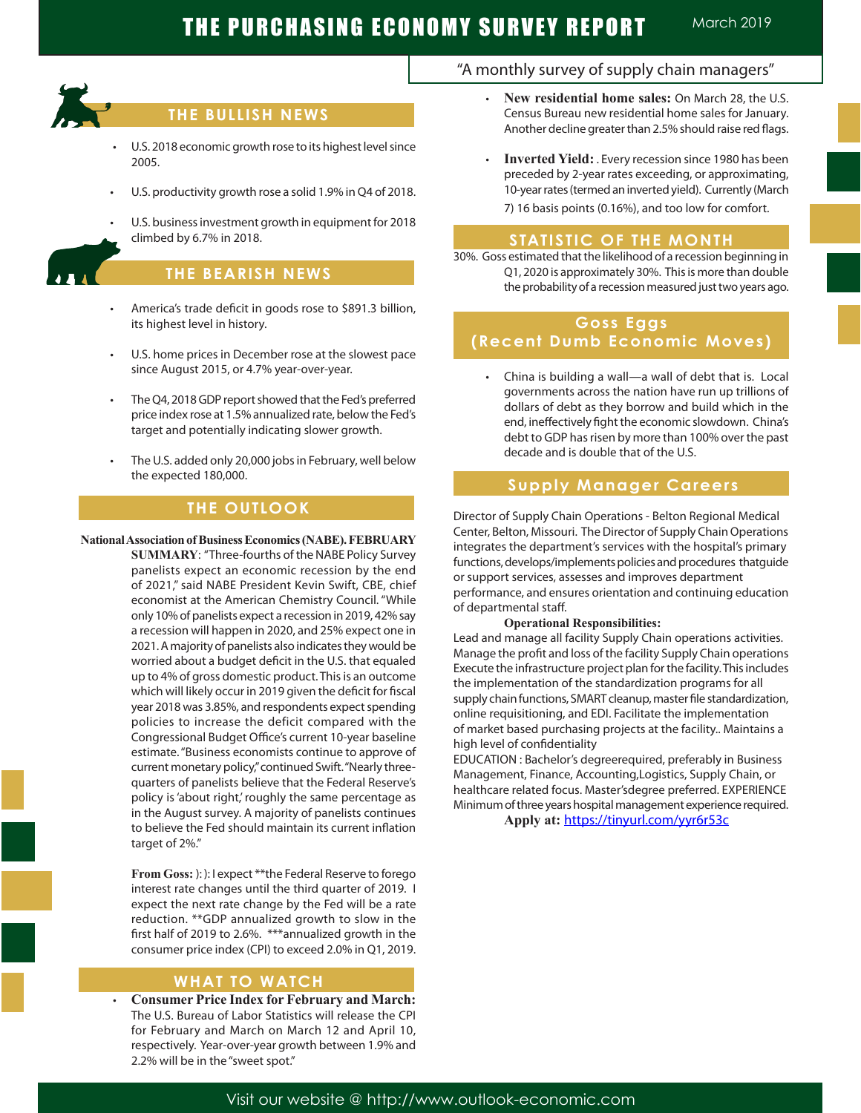

## **THE BULLISH NEWS**

- U.S. 2018 economic growth rose to its highest level since 2005.
- U.S. productivity growth rose a solid 1.9% in Q4 of 2018.
- U.S. business investment growth in equipment for 2018 climbed by 6.7% in 2018.

**THE BEARISH NEWS**

- America's trade deficit in goods rose to \$891.3 billion, its highest level in history.
- U.S. home prices in December rose at the slowest pace since August 2015, or 4.7% year-over-year.
- The Q4, 2018 GDP report showed that the Fed's preferred price index rose at 1.5% annualized rate, below the Fed's target and potentially indicating slower growth.
- The U.S. added only 20,000 jobs in February, well below the expected 180,000.

## **THE OUTLOOK**

#### **National Association of Business Economics (NABE). FEBRUARY**

**SUMMARY**: "Three-fourths of the NABE Policy Survey panelists expect an economic recession by the end of 2021," said NABE President Kevin Swift, CBE, chief economist at the American Chemistry Council. "While only 10% of panelists expect a recession in 2019, 42% say a recession will happen in 2020, and 25% expect one in 2021. A majority of panelists also indicates they would be worried about a budget deficit in the U.S. that equaled up to 4% of gross domestic product. This is an outcome which will likely occur in 2019 given the deficit for fiscal year 2018 was 3.85%, and respondents expect spending policies to increase the deficit compared with the Congressional Budget Office's current 10-year baseline estimate. "Business economists continue to approve of current monetary policy," continued Swift. "Nearly threequarters of panelists believe that the Federal Reserve's policy is 'about right,' roughly the same percentage as in the August survey. A majority of panelists continues to believe the Fed should maintain its current inflation target of 2%."

**From Goss:** ): ): I expect \*\*the Federal Reserve to forego interest rate changes until the third quarter of 2019. I expect the next rate change by the Fed will be a rate reduction. \*\*GDP annualized growth to slow in the first half of 2019 to 2.6%. \*\*\*annualized growth in the consumer price index (CPI) to exceed 2.0% in Q1, 2019.

### **WHAT TO WATCH**

**Consumer Price Index for February and March:** The U.S. Bureau of Labor Statistics will release the CPI for February and March on March 12 and April 10, respectively. Year-over-year growth between 1.9% and 2.2% will be in the "sweet spot."

### "A monthly survey of supply chain managers"

- **New residential home sales: On March 28, the U.S.** Census Bureau new residential home sales for January. Another decline greater than 2.5% should raise red flags.
- **Inverted Yield:** . Every recession since 1980 has been preceded by 2-year rates exceeding, or approximating, 10-year rates (termed an inverted yield). Currently (March 7) 16 basis points (0.16%), and too low for comfort.

### **STATISTIC OF THE MONTH**

30%. Goss estimated that the likelihood of a recession beginning in Q1, 2020 is approximately 30%. This is more than double the probability of a recession measured just two years ago.

## **Goss Eggs (Recent Dumb Economic Moves)**

 • China is building a wall—a wall of debt that is. Local governments across the nation have run up trillions of dollars of debt as they borrow and build which in the end, ineffectively fight the economic slowdown. China's debt to GDP has risen by more than 100% over the past decade and is double that of the U.S.

### **Supply Manager Careers**

Director of Supply Chain Operations - Belton Regional Medical Center, Belton, Missouri. The Director of Supply Chain Operations integrates the department's services with the hospital's primary functions, develops/implements policies and procedures thatguide or support services, assesses and improves department performance, and ensures orientation and continuing education of departmental staff.

#### **Operational Responsibilities:**

Lead and manage all facility Supply Chain operations activities. Manage the profit and loss of the facility Supply Chain operations Execute the infrastructure project plan for the facility. This includes the implementation of the standardization programs for all supply chain functions, SMART cleanup, master file standardization, online requisitioning, and EDI. Facilitate the implementation of market based purchasing projects at the facility.. Maintains a high level of confidentiality

EDUCATION : Bachelor's degreerequired, preferably in Business Management, Finance, Accounting,Logistics, Supply Chain, or healthcare related focus. Master'sdegree preferred. EXPERIENCE Minimum of three years hospital management experience required.

**Apply at:** https://tinyurl.com/yyr6r53c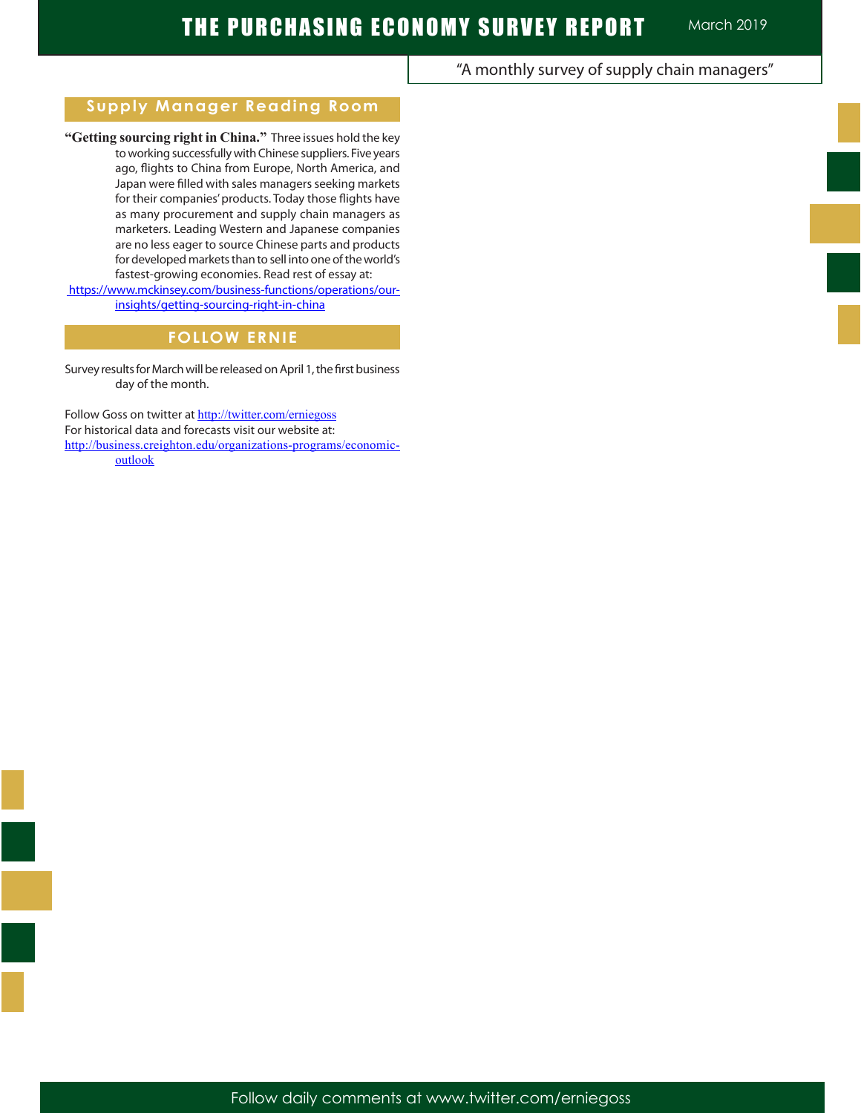## "A monthly survey of supply chain managers"

## **Supply Manager Reading Room**

**"Getting sourcing right in China."** Three issues hold the key to working successfully with Chinese suppliers. Five years ago, flights to China from Europe, North America, and Japan were filled with sales managers seeking markets for their companies' products. Today those flights have as many procurement and supply chain managers as marketers. Leading Western and Japanese companies are no less eager to source Chinese parts and products for developed markets than to sell into one of the world's fastest-growing economies. Read rest of essay at:

 https://www.mckinsey.com/business-functions/operations/ourinsights/getting-sourcing-right-in-china

# **FOLLOW ERNIE**

Survey results for March will be released on April 1, the first business day of the month.

Follow Goss on twitter at http://twitter.com/erniegoss For historical data and forecasts visit our website at: http://business.creighton.edu/organizations-programs/economicoutlook

Follow daily comments at www.twitter.com/erniegoss